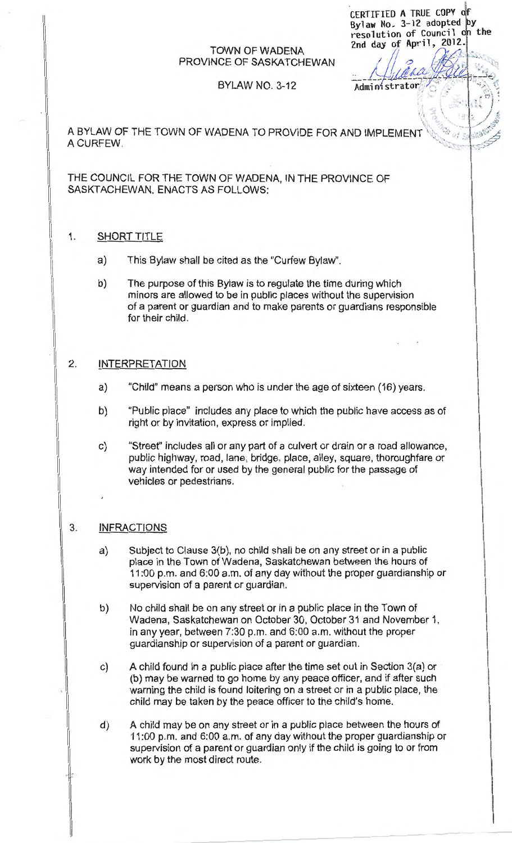### **TOWN OF WADENA** PROVINCE OF SASKATCHEWAN

# **BYLAW NO. 3-12**

 $\mathbb{R}$   $\mathbb{R}$   $\mathbb{R}$   $\mathbb{R}$   $\mathbb{R}$   $\mathbb{R}$   $\mathbb{R}$   $\mathbb{R}$   $\mathbb{R}$   $\mathbb{R}$   $\mathbb{R}$   $\mathbb{R}$   $\mathbb{R}$   $\mathbb{R}$   $\mathbb{R}$   $\mathbb{R}$   $\mathbb{R}$   $\mathbb{R}$   $\mathbb{R}$   $\mathbb{R}$   $\mathbb{R}$   $\mathbb{R}$   $\mathbb{R}$   $\mathbb{R}$   $\mathbb{$ A BYLAW OF THE TOWN OF WADENA TO PROVIDE FOR AND IMPLEMENT A CURFEW. \_\_ \_, .. *,.-\_.7* 

THE COUNCIL FOR THE TOWN OF WADENA, IN THE PROVINCE OF SASKTACHEWAN, ENACTS AS FOLLOWS:

#### 1. SHORT TITLE

- a) This Bylaw shall be cited as the "Curfew Bylaw".
- b) The purpose of this Bylaw is to regulate the time during which minors are allowed to be in public places without the supervision of a parent or guardian and to make parents or guardians responsible for their child.

### 2. INTERPRETATION

- a) "Child" means a person who is under the age of sixteen (16) years.
- b) "Public place" includes any place to which the public have access as of right or by invitation, express or implied.
- c) "Street" includes all or any part of a culvert or drain or a road allowance, public highway, road, lane, bridge, place, alley, square, thoroughfare or way intended for or used by the general public for the passage of vehicles or pedestrians.

# 3. INFRACTIONS

- a) Subject to Clause 3(b), no child shall be on any street or in a public place in the Town of Wadena, Saskatchewan between the hours of 11 :00 p.m. and 6:00 a.m. of any day without the proper guardianship or supervision of a parent or guardian.
- b) No child shall be on any street or in a public place in the Town of Wadena, Saskatchewan on October 30, October 31 and November 1, in any year, between 7:30 p.m. and 6:00 a.m. without the proper guardianship or supervision of a parent or guardian.
- c) A child found in a public place after the time set out in Section 3(a) or (b) may be warned to go home by any peace officer, and if after such warning the child is found loitering on a street or in a public place, the child may be taken by the peace officer to the child's home.
- d) A child may be on any street or in a public place between the hours of 11 :00 p.m. and 6:00 a.m. of any day without the proper guardianship or supervision of a parent or guardian only if the child is going to or from work by the most direct route.

CERTIFIED A TRUE COPY Bylaw No. 3-12 adopted by resolution of Council on the 2nd day of April, 2

*j* /,;/J,ef/'6 ' . ' ~· '.

' - '  $f(x) = \begin{bmatrix} f(x) & f(x) & f(x) \end{bmatrix}$  $\mathcal{L} \subset \mathcal{L}$  , we have  $\mathcal{L}$ 

 $\mu$  ,  $\mu$  ,  $\mu$  ,  $\mu$ 

 $\left\langle \cdot,\cdot\right\rangle$ 

·>J

 $\mathcal{L}_{\mathcal{P}}$   $\mathcal{L}_{\mathcal{P}}$   $\mathcal{L}_{\mathcal{P}}$   $\mathcal{L}_{\mathcal{P}}$   $\mathcal{L}_{\mathcal{P}}$ 

 $110 - 17$ 

Administrator  $\mathbb{Z}^2 \left( \mathbb{Z}^2, \ldots, \mathbb{Z}^2 \right)$ 

*"* <sup>~</sup>

.. *I*